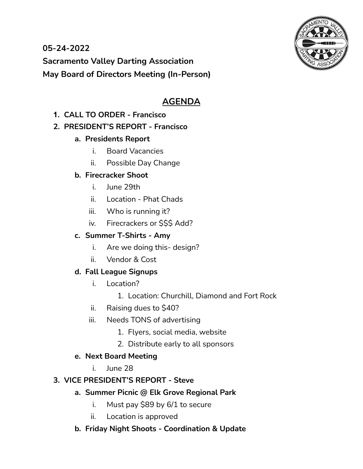

**05-24-2022 Sacramento Valley Darting Association May Board of Directors Meeting (In-Person)**

# **AGENDA**

**1. CALL TO ORDER - Francisco**

## **2. PRESIDENT'S REPORT - Francisco**

- **a. Presidents Report**
	- i. Board Vacancies
	- ii. Possible Day Change

## **b. Firecracker Shoot**

- i. June 29th
- ii. Location Phat Chads
- iii. Who is running it?
- iv. Firecrackers or \$\$\$ Add?

## **c. Summer T-Shirts - Amy**

- i. Are we doing this- design?
- ii. Vendor & Cost

## **d. Fall League Signups**

- i. Location?
	- 1. Location: Churchill, Diamond and Fort Rock
- ii. Raising dues to \$40?
- iii. Needs TONS of advertising
	- 1. Flyers, social media, website
	- 2. Distribute early to all sponsors

## **e. Next Board Meeting**

i. June 28

## **3. VICE PRESIDENT'S REPORT - Steve**

- **a. Summer Picnic @ Elk Grove Regional Park**
	- i. Must pay \$89 by 6/1 to secure
	- ii. Location is approved
- **b. Friday Night Shoots - Coordination & Update**